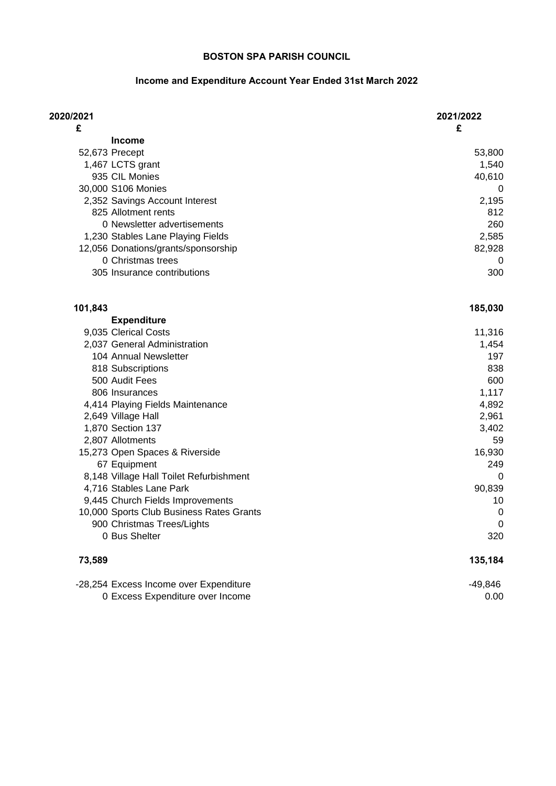## **Income and Expenditure Account Year Ended 31st March 2022**

| 2020/2021                                | 2021/2022   |
|------------------------------------------|-------------|
| £                                        | £           |
| <b>Income</b>                            |             |
| 52,673 Precept                           | 53,800      |
| 1,467 LCTS grant<br>935 CIL Monies       | 1,540       |
| 30,000 S106 Monies                       | 40,610<br>0 |
| 2,352 Savings Account Interest           | 2,195       |
| 825 Allotment rents                      | 812         |
| 0 Newsletter advertisements              | 260         |
| 1,230 Stables Lane Playing Fields        | 2,585       |
| 12,056 Donations/grants/sponsorship      | 82,928      |
| 0 Christmas trees                        | 0           |
| 305 Insurance contributions              | 300         |
| 101,843                                  | 185,030     |
| <b>Expenditure</b>                       |             |
| 9,035 Clerical Costs                     | 11,316      |
| 2,037 General Administration             | 1,454       |
| 104 Annual Newsletter                    | 197         |
| 818 Subscriptions                        | 838         |
| 500 Audit Fees                           | 600         |
| 806 Insurances                           | 1,117       |
| 4,414 Playing Fields Maintenance         | 4,892       |
| 2,649 Village Hall                       | 2,961       |
| 1,870 Section 137                        | 3,402       |
| 2,807 Allotments                         | 59          |
| 15,273 Open Spaces & Riverside           | 16,930      |
| 67 Equipment                             | 249         |
| 8,148 Village Hall Toilet Refurbishment  | 0           |
| 4,716 Stables Lane Park                  | 90,839      |
| 9,445 Church Fields Improvements         | 10          |
| 10,000 Sports Club Business Rates Grants | 0           |
| 900 Christmas Trees/Lights               | 0           |
| 0 Bus Shelter                            | 320         |
| 73,589                                   | 135,184     |
| -28,254 Excess Income over Expenditure   | $-49,846$   |
| 0 Excess Expenditure over Income         | 0.00        |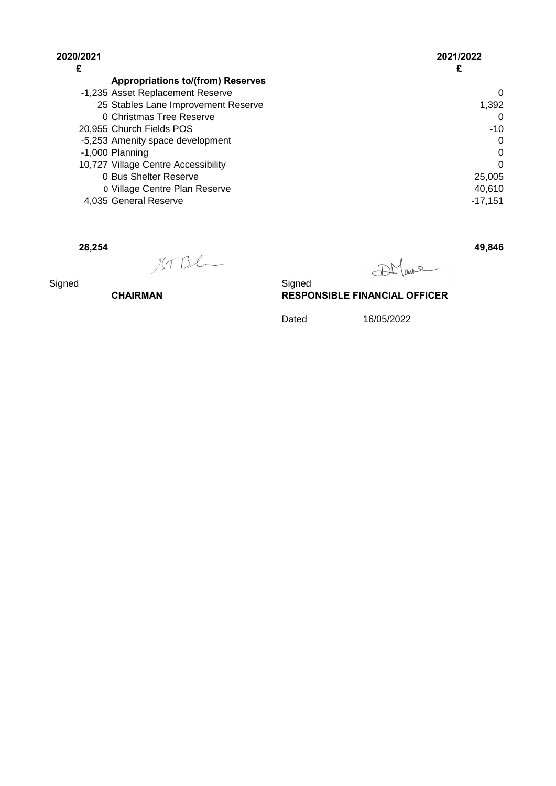| 2020/2021 |                                          | 2021/2022 |
|-----------|------------------------------------------|-----------|
| £         |                                          |           |
|           | <b>Appropriations to/(from) Reserves</b> |           |
|           | -1,235 Asset Replacement Reserve         | 0         |
|           | 25 Stables Lane Improvement Reserve      | 1,392     |
|           | 0 Christmas Tree Reserve                 | 0         |
|           | 20,955 Church Fields POS                 | $-10$     |
|           | -5,253 Amenity space development         | 0         |
|           | $-1,000$ Planning                        | 0         |
|           | 10,727 Village Centre Accessibility      | 0         |
|           | 0 Bus Shelter Reserve                    | 25,005    |
|           | 0 Village Centre Plan Reserve            | 40,610    |
|           | 4,035 General Reserve                    | $-17.151$ |

**28,254 49,846**

DMane

Signed Signed **Signed CHAIRMAN RESPONSIBLE FINANCIAL OFFICER**

Dated 16/05/2022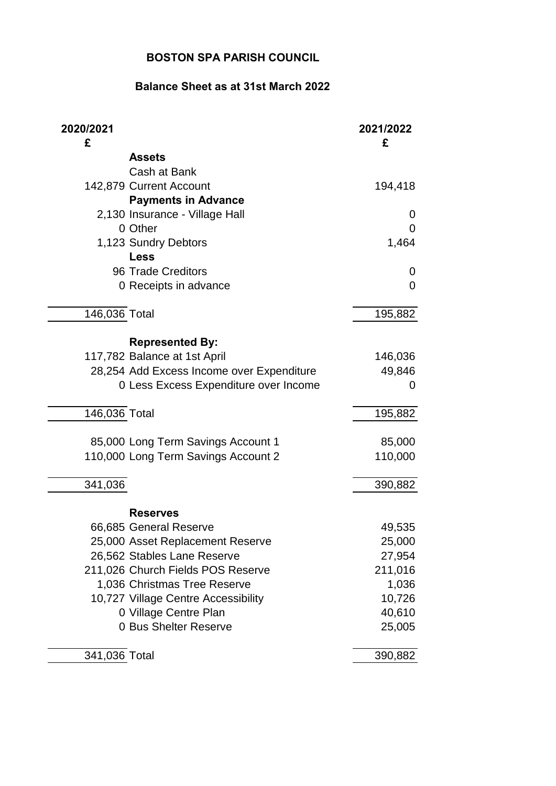## **Balance Sheet as at 31st March 2022**

| 2020/2021<br>£ |                                           | 2021/2022<br>£ |
|----------------|-------------------------------------------|----------------|
|                | <b>Assets</b>                             |                |
|                | Cash at Bank                              |                |
|                | 142,879 Current Account                   | 194,418        |
|                | <b>Payments in Advance</b>                |                |
|                | 2,130 Insurance - Village Hall            | 0              |
|                | 0 Other                                   | 0              |
|                | 1,123 Sundry Debtors                      | 1,464          |
|                | <b>Less</b>                               |                |
|                | 96 Trade Creditors                        | 0              |
|                | 0 Receipts in advance                     | $\Omega$       |
|                |                                           |                |
| 146,036 Total  |                                           | 195,882        |
|                | <b>Represented By:</b>                    |                |
|                | 117,782 Balance at 1st April              | 146,036        |
|                | 28,254 Add Excess Income over Expenditure | 49,846         |
|                | 0 Less Excess Expenditure over Income     | 0              |
|                |                                           |                |
| 146,036 Total  |                                           | 195,882        |
|                | 85,000 Long Term Savings Account 1        | 85,000         |
|                | 110,000 Long Term Savings Account 2       | 110,000        |
|                |                                           |                |
| 341,036        |                                           | 390,882        |
|                |                                           |                |
|                | <b>Reserves</b>                           |                |
|                | 66,685 General Reserve                    | 49,535         |
|                | 25,000 Asset Replacement Reserve          | 25,000         |
|                | 26,562 Stables Lane Reserve               | 27,954         |
|                | 211,026 Church Fields POS Reserve         | 211,016        |
|                | 1,036 Christmas Tree Reserve              | 1,036          |
|                | 10,727 Village Centre Accessibility       | 10,726         |
|                | 0 Village Centre Plan                     | 40,610         |
|                | 0 Bus Shelter Reserve                     | 25,005         |
| 341,036 Total  |                                           | 390,882        |
|                |                                           |                |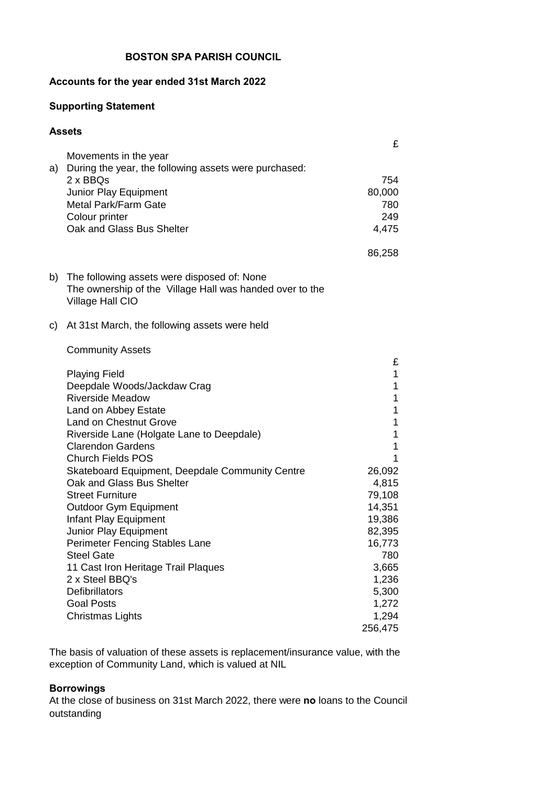#### **Accounts for the year ended 31st March 2022**

#### **Supporting Statement**

#### **Assets**

|    |                                                                                                         | £                |
|----|---------------------------------------------------------------------------------------------------------|------------------|
|    | Movements in the year                                                                                   |                  |
| a) | During the year, the following assets were purchased:<br>2 x BBQs                                       | 754              |
|    | Junior Play Equipment                                                                                   | 80,000           |
|    | Metal Park/Farm Gate                                                                                    | 780              |
|    | Colour printer                                                                                          | 249              |
|    | Oak and Glass Bus Shelter                                                                               | 4,475            |
|    |                                                                                                         |                  |
|    |                                                                                                         | 86,258           |
| b) | The following assets were disposed of: None<br>The ownership of the Village Hall was handed over to the |                  |
|    | Village Hall CIO                                                                                        |                  |
| C) | At 31st March, the following assets were held                                                           |                  |
|    |                                                                                                         |                  |
|    | <b>Community Assets</b>                                                                                 |                  |
|    | <b>Playing Field</b>                                                                                    | £<br>1           |
|    | Deepdale Woods/Jackdaw Crag                                                                             | 1                |
|    | <b>Riverside Meadow</b>                                                                                 | 1                |
|    | Land on Abbey Estate                                                                                    | 1                |
|    | <b>Land on Chestnut Grove</b>                                                                           | 1                |
|    | Riverside Lane (Holgate Lane to Deepdale)                                                               | 1                |
|    | <b>Clarendon Gardens</b>                                                                                | 1                |
|    | <b>Church Fields POS</b>                                                                                | 1                |
|    | Skateboard Equipment, Deepdale Community Centre                                                         | 26,092           |
|    | Oak and Glass Bus Shelter                                                                               | 4,815            |
|    | <b>Street Furniture</b>                                                                                 | 79,108           |
|    | <b>Outdoor Gym Equipment</b>                                                                            | 14,351           |
|    | Infant Play Equipment<br>Junior Play Equipment                                                          | 19,386<br>82,395 |
|    | Perimeter Fencing Stables Lane                                                                          | 16,773           |
|    | <b>Steel Gate</b>                                                                                       | 780              |
|    | 11 Cast Iron Heritage Trail Plaques                                                                     | 3,665            |
|    | 2 x Steel BBQ's                                                                                         | 1,236            |
|    | <b>Defibrillators</b>                                                                                   | 5,300            |
|    | <b>Goal Posts</b>                                                                                       | 1,272            |
|    | <b>Christmas Lights</b>                                                                                 | 1,294            |
|    |                                                                                                         | 256,475          |

The basis of valuation of these assets is replacement/insurance value, with the exception of Community Land, which is valued at NIL

#### **Borrowings**

At the close of business on 31st March 2022, there were **no** loans to the Council outstanding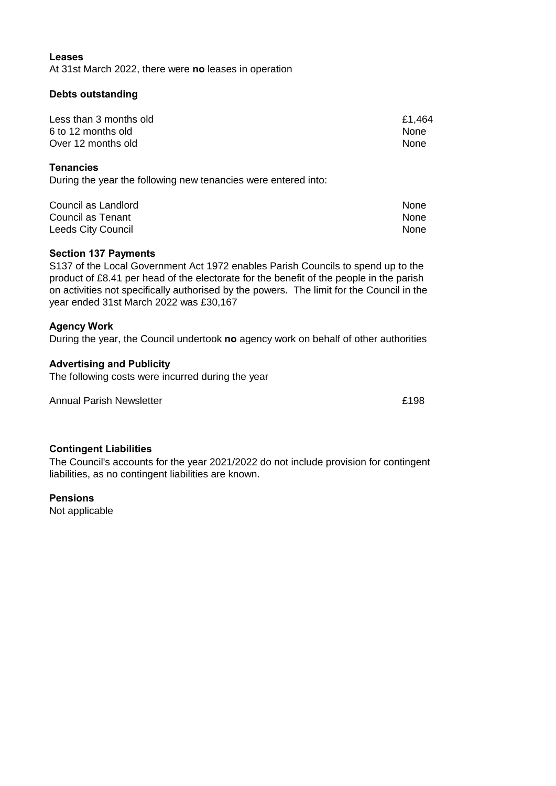#### **Leases**

At 31st March 2022, there were **no** leases in operation

#### **Debts outstanding**

| Less than 3 months old | £1,464      |
|------------------------|-------------|
| 6 to 12 months old     | <b>None</b> |
| Over 12 months old     | <b>None</b> |

#### **Tenancies**

During the year the following new tenancies were entered into:

| Council as Landlord | None |
|---------------------|------|
| Council as Tenant   | None |
| Leeds City Council  | None |

#### **Section 137 Payments**

S137 of the Local Government Act 1972 enables Parish Councils to spend up to the product of £8.41 per head of the electorate for the benefit of the people in the parish on activities not specifically authorised by the powers. The limit for the Council in the year ended 31st March 2022 was £30,167

#### **Agency Work**

During the year, the Council undertook **no** agency work on behalf of other authorities

#### **Advertising and Publicity**

The following costs were incurred during the year

Annual Parish Newsletter **Example 2018** 2019 12:30 Annual Parish Newsletter **Example 2019** 

#### **Contingent Liabilities**

The Council's accounts for the year 2021/2022 do not include provision for contingent liabilities, as no contingent liabilities are known.

#### **Pensions**

Not applicable